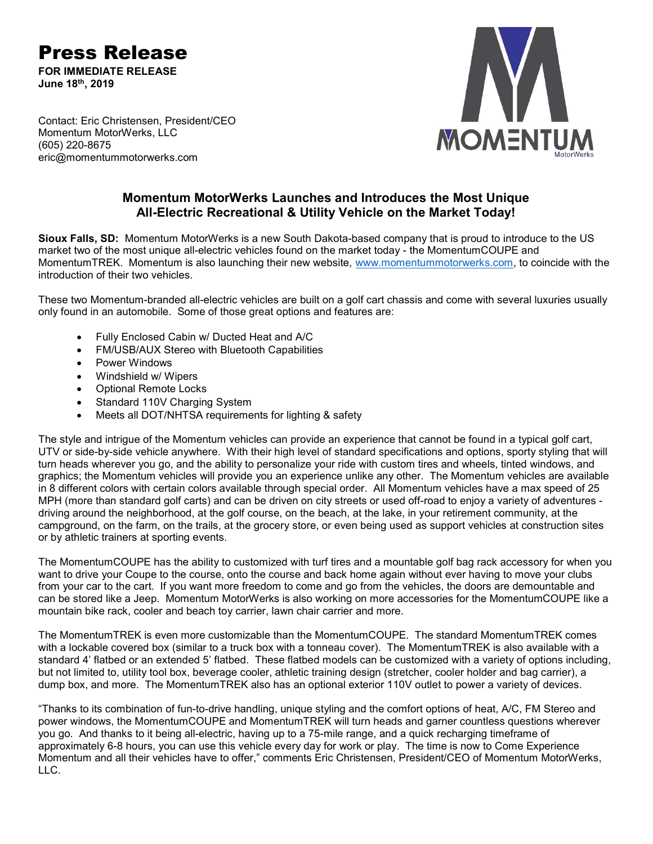Press Release FOR IMMEDIATE RELEASE

June 18th, 2019

**MOMENTUM** 

Contact: Eric Christensen, President/CEO Momentum MotorWerks, LLC (605) 220-8675 eric@momentummotorwerks.com

## Momentum MotorWerks Launches and Introduces the Most Unique All-Electric Recreational & Utility Vehicle on the Market Today!

Sioux Falls, SD: Momentum MotorWerks is a new South Dakota-based company that is proud to introduce to the US market two of the most unique all-electric vehicles found on the market today - the MomentumCOUPE and MomentumTREK. Momentum is also launching their new website, www.momentummotorwerks.com, to coincide with the introduction of their two vehicles.

These two Momentum-branded all-electric vehicles are built on a golf cart chassis and come with several luxuries usually only found in an automobile. Some of those great options and features are:

- Fully Enclosed Cabin w/ Ducted Heat and A/C
- FM/USB/AUX Stereo with Bluetooth Capabilities
- Power Windows
- Windshield w/ Wipers
- Optional Remote Locks
- Standard 110V Charging System
- Meets all DOT/NHTSA requirements for lighting & safety

The style and intrigue of the Momentum vehicles can provide an experience that cannot be found in a typical golf cart, UTV or side-by-side vehicle anywhere. With their high level of standard specifications and options, sporty styling that will turn heads wherever you go, and the ability to personalize your ride with custom tires and wheels, tinted windows, and graphics; the Momentum vehicles will provide you an experience unlike any other. The Momentum vehicles are available in 8 different colors with certain colors available through special order. All Momentum vehicles have a max speed of 25 MPH (more than standard golf carts) and can be driven on city streets or used off-road to enjoy a variety of adventures driving around the neighborhood, at the golf course, on the beach, at the lake, in your retirement community, at the campground, on the farm, on the trails, at the grocery store, or even being used as support vehicles at construction sites or by athletic trainers at sporting events.

The MomentumCOUPE has the ability to customized with turf tires and a mountable golf bag rack accessory for when you want to drive your Coupe to the course, onto the course and back home again without ever having to move your clubs from your car to the cart. If you want more freedom to come and go from the vehicles, the doors are demountable and can be stored like a Jeep. Momentum MotorWerks is also working on more accessories for the MomentumCOUPE like a mountain bike rack, cooler and beach toy carrier, lawn chair carrier and more.

The MomentumTREK is even more customizable than the MomentumCOUPE. The standard MomentumTREK comes with a lockable covered box (similar to a truck box with a tonneau cover). The MomentumTREK is also available with a standard 4' flatbed or an extended 5' flatbed. These flatbed models can be customized with a variety of options including, but not limited to, utility tool box, beverage cooler, athletic training design (stretcher, cooler holder and bag carrier), a dump box, and more. The MomentumTREK also has an optional exterior 110V outlet to power a variety of devices.

"Thanks to its combination of fun-to-drive handling, unique styling and the comfort options of heat, A/C, FM Stereo and power windows, the MomentumCOUPE and MomentumTREK will turn heads and garner countless questions wherever you go. And thanks to it being all-electric, having up to a 75-mile range, and a quick recharging timeframe of approximately 6-8 hours, you can use this vehicle every day for work or play. The time is now to Come Experience Momentum and all their vehicles have to offer," comments Eric Christensen, President/CEO of Momentum MotorWerks, LLC.